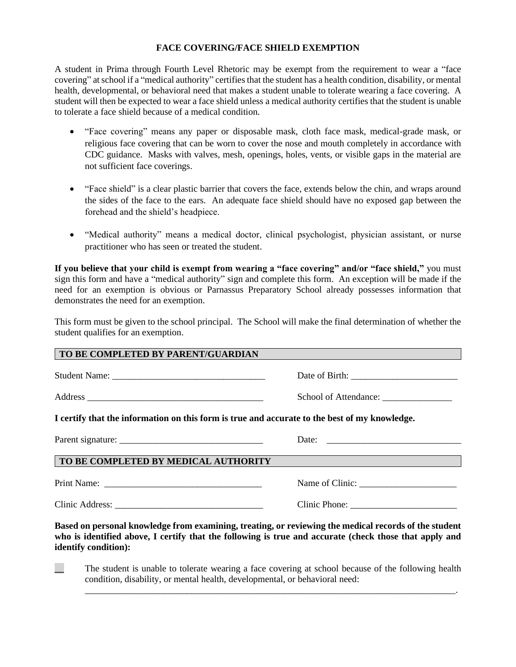## **FACE COVERING/FACE SHIELD EXEMPTION**

A student in Prima through Fourth Level Rhetoric may be exempt from the requirement to wear a "face covering" at school if a "medical authority" certifies that the student has a health condition, disability, or mental health, developmental, or behavioral need that makes a student unable to tolerate wearing a face covering. A student will then be expected to wear a face shield unless a medical authority certifies that the student is unable to tolerate a face shield because of a medical condition.

- "Face covering" means any paper or disposable mask, cloth face mask, medical-grade mask, or religious face covering that can be worn to cover the nose and mouth completely in accordance with CDC guidance. Masks with valves, mesh, openings, holes, vents, or visible gaps in the material are not sufficient face coverings.
- "Face shield" is a clear plastic barrier that covers the face, extends below the chin, and wraps around the sides of the face to the ears. An adequate face shield should have no exposed gap between the forehead and the shield's headpiece.
- "Medical authority" means a medical doctor, clinical psychologist, physician assistant, or nurse practitioner who has seen or treated the student.

**If you believe that your child is exempt from wearing a "face covering" and/or "face shield,"** you must sign this form and have a "medical authority" sign and complete this form. An exception will be made if the need for an exemption is obvious or Parnassus Preparatory School already possesses information that demonstrates the need for an exemption.

This form must be given to the school principal. The School will make the final determination of whether the student qualifies for an exemption.

| TO BE COMPLETED BY PARENT/GUARDIAN   |                                                                                                                                                                                                                 |
|--------------------------------------|-----------------------------------------------------------------------------------------------------------------------------------------------------------------------------------------------------------------|
|                                      |                                                                                                                                                                                                                 |
|                                      |                                                                                                                                                                                                                 |
|                                      | I certify that the information on this form is true and accurate to the best of my knowledge.                                                                                                                   |
|                                      |                                                                                                                                                                                                                 |
| TO BE COMPLETED BY MEDICAL AUTHORITY |                                                                                                                                                                                                                 |
|                                      |                                                                                                                                                                                                                 |
|                                      | Clinic Phone:                                                                                                                                                                                                   |
| identify condition):                 | Based on personal knowledge from examining, treating, or reviewing the medical records of the student<br>who is identified above, I certify that the following is true and accurate (check those that apply and |

**The student is unable to tolerate wearing a face covering at school because of the following health** condition, disability, or mental health, developmental, or behavioral need:

\_\_\_\_\_\_\_\_\_\_\_\_\_\_\_\_\_\_\_\_\_\_\_\_\_\_\_\_\_\_\_\_\_\_\_\_\_\_\_\_\_\_\_\_\_\_\_\_\_\_\_\_\_\_\_\_\_\_\_\_\_\_\_\_\_\_\_\_\_\_\_\_\_\_\_\_\_\_\_\_.